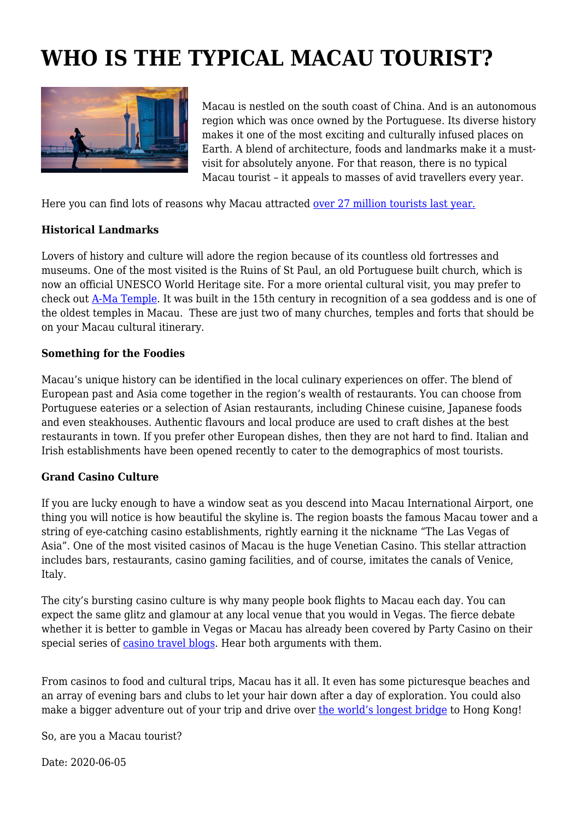## **WHO IS THE TYPICAL MACAU TOURIST?**



Macau is nestled on the south coast of China. And is an autonomous region which was once owned by the Portuguese. Its diverse history makes it one of the most exciting and culturally infused places on Earth. A blend of architecture, foods and landmarks make it a mustvisit for absolutely anyone. For that reason, there is no typical Macau tourist – it appeals to masses of avid travellers every year.

Here you can find lots of reasons why Macau attracted [over 27 million tourists last year.](https://www.tourism-review.com/macau-reported-27-million-visitors-so-far-news11198)

## **Historical Landmarks**

Lovers of history and culture will adore the region because of its countless old fortresses and museums. One of the most visited is the Ruins of St Paul, an old Portuguese built church, which is now an official UNESCO World Heritage site. For a more oriental cultural visit, you may prefer to check out [A-Ma Temple](https://www.travelchinaguide.com/attraction/macau/a_ma.htm). It was built in the 15th century in recognition of a sea goddess and is one of the oldest temples in Macau. These are just two of many churches, temples and forts that should be on your Macau cultural itinerary.

## **Something for the Foodies**

Macau's unique history can be identified in the local culinary experiences on offer. The blend of European past and Asia come together in the region's wealth of restaurants. You can choose from Portuguese eateries or a selection of Asian restaurants, including Chinese cuisine, Japanese foods and even steakhouses. Authentic flavours and local produce are used to craft dishes at the best restaurants in town. If you prefer other European dishes, then they are not hard to find. Italian and Irish establishments have been opened recently to cater to the demographics of most tourists.

## **Grand Casino Culture**

If you are lucky enough to have a window seat as you descend into Macau International Airport, one thing you will notice is how beautiful the skyline is. The region boasts the famous Macau tower and a string of eye-catching casino establishments, rightly earning it the nickname "The Las Vegas of Asia". One of the most visited casinos of Macau is the huge Venetian Casino. This stellar attraction includes bars, restaurants, casino gaming facilities, and of course, imitates the canals of Venice, Italy.

The city's bursting casino culture is why many people book flights to Macau each day. You can expect the same glitz and glamour at any local venue that you would in Vegas. The fierce debate whether it is better to gamble in Vegas or Macau has already been covered by Party Casino on their special series of [casino travel blogs.](https://casino.partycasino.com/en/blog/category/entertainment/travel/) Hear both arguments with them.

From casinos to food and cultural trips, Macau has it all. It even has some picturesque beaches and an array of evening bars and clubs to let your hair down after a day of exploration. You could also make a bigger adventure out of your trip and drive over [the world's longest bridge](https://www.tourism-review.com/the-longest-bridge-causes-some-doubts-news10797) to Hong Kong!

So, are you a Macau tourist?

Date: 2020-06-05